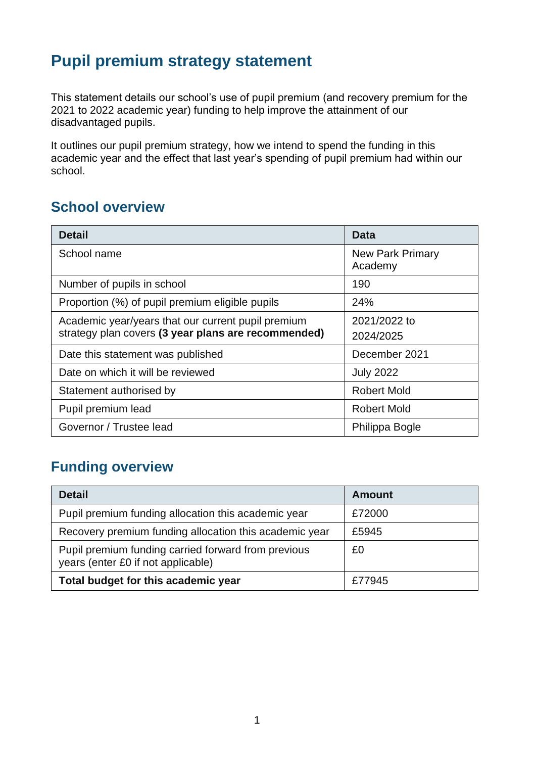# **Pupil premium strategy statement**

This statement details our school's use of pupil premium (and recovery premium for the 2021 to 2022 academic year) funding to help improve the attainment of our disadvantaged pupils.

It outlines our pupil premium strategy, how we intend to spend the funding in this academic year and the effect that last year's spending of pupil premium had within our school.

#### **School overview**

| <b>Detail</b>                                                                                             | Data                               |
|-----------------------------------------------------------------------------------------------------------|------------------------------------|
| School name                                                                                               | <b>New Park Primary</b><br>Academy |
| Number of pupils in school                                                                                | 190                                |
| Proportion (%) of pupil premium eligible pupils                                                           | 24%                                |
| Academic year/years that our current pupil premium<br>strategy plan covers (3 year plans are recommended) | 2021/2022 to<br>2024/2025          |
| Date this statement was published                                                                         | December 2021                      |
| Date on which it will be reviewed                                                                         | <b>July 2022</b>                   |
| Statement authorised by                                                                                   | <b>Robert Mold</b>                 |
| Pupil premium lead                                                                                        | <b>Robert Mold</b>                 |
| Governor / Trustee lead                                                                                   | Philippa Bogle                     |

#### **Funding overview**

| <b>Detail</b>                                                                             | Amount |
|-------------------------------------------------------------------------------------------|--------|
| Pupil premium funding allocation this academic year                                       | £72000 |
| Recovery premium funding allocation this academic year                                    | £5945  |
| Pupil premium funding carried forward from previous<br>years (enter £0 if not applicable) | £0     |
| Total budget for this academic year                                                       | £77945 |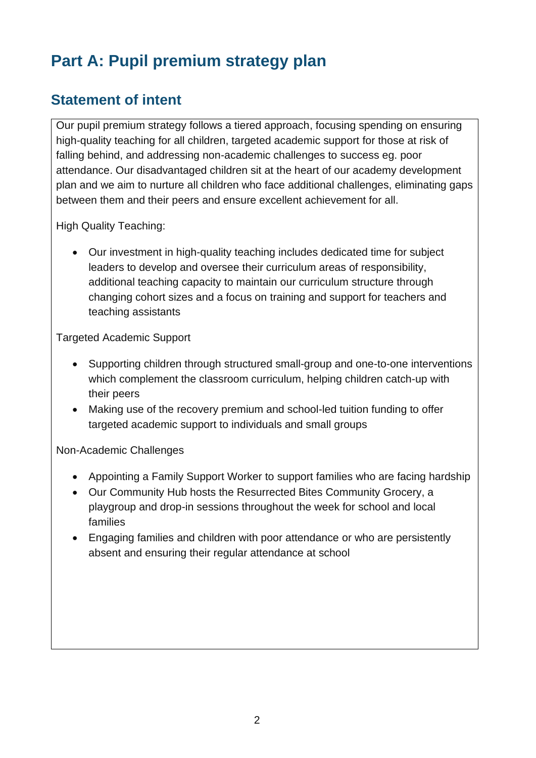# **Part A: Pupil premium strategy plan**

#### **Statement of intent**

Our pupil premium strategy follows a tiered approach, focusing spending on ensuring high-quality teaching for all children, targeted academic support for those at risk of falling behind, and addressing non-academic challenges to success eg. poor attendance. Our disadvantaged children sit at the heart of our academy development plan and we aim to nurture all children who face additional challenges, eliminating gaps between them and their peers and ensure excellent achievement for all.

High Quality Teaching:

• Our investment in high-quality teaching includes dedicated time for subject leaders to develop and oversee their curriculum areas of responsibility, additional teaching capacity to maintain our curriculum structure through changing cohort sizes and a focus on training and support for teachers and teaching assistants

Targeted Academic Support

- Supporting children through structured small-group and one-to-one interventions which complement the classroom curriculum, helping children catch-up with their peers
- Making use of the recovery premium and school-led tuition funding to offer targeted academic support to individuals and small groups

Non-Academic Challenges

- Appointing a Family Support Worker to support families who are facing hardship
- Our Community Hub hosts the Resurrected Bites Community Grocery, a playgroup and drop-in sessions throughout the week for school and local families
- Engaging families and children with poor attendance or who are persistently absent and ensuring their regular attendance at school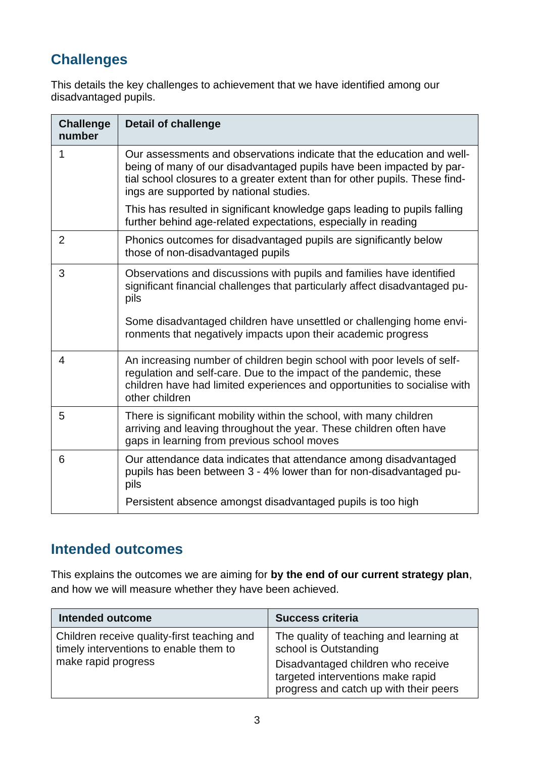## **Challenges**

This details the key challenges to achievement that we have identified among our disadvantaged pupils.

| <b>Challenge</b><br>number | <b>Detail of challenge</b>                                                                                                                                                                                                                                               |
|----------------------------|--------------------------------------------------------------------------------------------------------------------------------------------------------------------------------------------------------------------------------------------------------------------------|
| 1                          | Our assessments and observations indicate that the education and well-<br>being of many of our disadvantaged pupils have been impacted by par-<br>tial school closures to a greater extent than for other pupils. These find-<br>ings are supported by national studies. |
|                            | This has resulted in significant knowledge gaps leading to pupils falling<br>further behind age-related expectations, especially in reading                                                                                                                              |
| $\overline{2}$             | Phonics outcomes for disadvantaged pupils are significantly below<br>those of non-disadvantaged pupils                                                                                                                                                                   |
| 3                          | Observations and discussions with pupils and families have identified<br>significant financial challenges that particularly affect disadvantaged pu-<br>pils                                                                                                             |
|                            | Some disadvantaged children have unsettled or challenging home envi-<br>ronments that negatively impacts upon their academic progress                                                                                                                                    |
| 4                          | An increasing number of children begin school with poor levels of self-<br>regulation and self-care. Due to the impact of the pandemic, these<br>children have had limited experiences and opportunities to socialise with<br>other children                             |
| 5                          | There is significant mobility within the school, with many children<br>arriving and leaving throughout the year. These children often have<br>gaps in learning from previous school moves                                                                                |
| 6                          | Our attendance data indicates that attendance among disadvantaged<br>pupils has been between 3 - 4% lower than for non-disadvantaged pu-<br>pils                                                                                                                         |
|                            | Persistent absence amongst disadvantaged pupils is too high                                                                                                                                                                                                              |

## **Intended outcomes**

This explains the outcomes we are aiming for **by the end of our current strategy plan**, and how we will measure whether they have been achieved.

| <b>Intended outcome</b>                                                                                      | <b>Success criteria</b>                                                                                                                                                               |
|--------------------------------------------------------------------------------------------------------------|---------------------------------------------------------------------------------------------------------------------------------------------------------------------------------------|
| Children receive quality-first teaching and<br>timely interventions to enable them to<br>make rapid progress | The quality of teaching and learning at<br>school is Outstanding<br>Disadvantaged children who receive<br>targeted interventions make rapid<br>progress and catch up with their peers |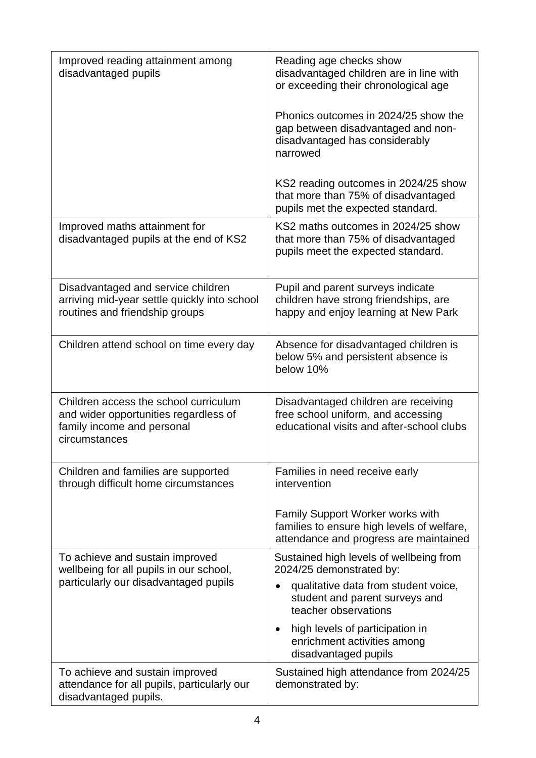| Improved reading attainment among<br>disadvantaged pupils                                                                     | Reading age checks show<br>disadvantaged children are in line with<br>or exceeding their chronological age<br>Phonics outcomes in 2024/25 show the<br>gap between disadvantaged and non-<br>disadvantaged has considerably<br>narrowed<br>KS2 reading outcomes in 2024/25 show<br>that more than 75% of disadvantaged<br>pupils met the expected standard. |
|-------------------------------------------------------------------------------------------------------------------------------|------------------------------------------------------------------------------------------------------------------------------------------------------------------------------------------------------------------------------------------------------------------------------------------------------------------------------------------------------------|
| Improved maths attainment for<br>disadvantaged pupils at the end of KS2                                                       | KS2 maths outcomes in 2024/25 show<br>that more than 75% of disadvantaged<br>pupils meet the expected standard.                                                                                                                                                                                                                                            |
| Disadvantaged and service children<br>arriving mid-year settle quickly into school<br>routines and friendship groups          | Pupil and parent surveys indicate<br>children have strong friendships, are<br>happy and enjoy learning at New Park                                                                                                                                                                                                                                         |
| Children attend school on time every day                                                                                      | Absence for disadvantaged children is<br>below 5% and persistent absence is<br>below 10%                                                                                                                                                                                                                                                                   |
| Children access the school curriculum<br>and wider opportunities regardless of<br>family income and personal<br>circumstances | Disadvantaged children are receiving<br>free school uniform, and accessing<br>educational visits and after-school clubs                                                                                                                                                                                                                                    |
| Children and families are supported<br>through difficult home circumstances                                                   | Families in need receive early<br>intervention<br>Family Support Worker works with                                                                                                                                                                                                                                                                         |
|                                                                                                                               | families to ensure high levels of welfare,<br>attendance and progress are maintained                                                                                                                                                                                                                                                                       |
| To achieve and sustain improved<br>wellbeing for all pupils in our school,<br>particularly our disadvantaged pupils           | Sustained high levels of wellbeing from<br>2024/25 demonstrated by:<br>qualitative data from student voice,                                                                                                                                                                                                                                                |
|                                                                                                                               | student and parent surveys and<br>teacher observations                                                                                                                                                                                                                                                                                                     |
|                                                                                                                               | high levels of participation in<br>$\bullet$<br>enrichment activities among<br>disadvantaged pupils                                                                                                                                                                                                                                                        |
| To achieve and sustain improved<br>attendance for all pupils, particularly our<br>disadvantaged pupils.                       | Sustained high attendance from 2024/25<br>demonstrated by:                                                                                                                                                                                                                                                                                                 |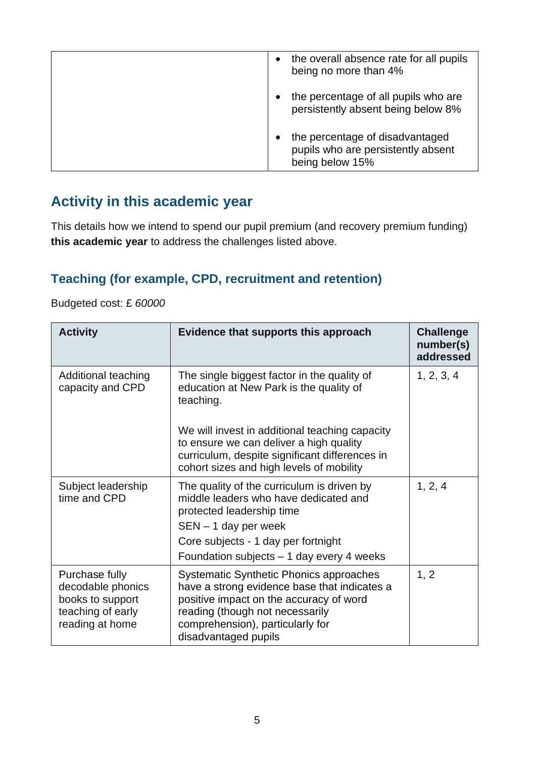| the overall absence rate for all pupils<br>being no more than 4%                         |
|------------------------------------------------------------------------------------------|
| the percentage of all pupils who are<br>persistently absent being below 8%               |
| the percentage of disadvantaged<br>pupils who are persistently absent<br>being below 15% |

## **Activity in this academic year**

This details how we intend to spend our pupil premium (and recovery premium funding) **this academic year** to address the challenges listed above.

#### **Teaching (for example, CPD, recruitment and retention)**

Budgeted cost: £ *60000*

| <b>Activity</b>                                                                                 | Evidence that supports this approach                                                                                                                                                                                              | <b>Challenge</b><br>number(s)<br>addressed |
|-------------------------------------------------------------------------------------------------|-----------------------------------------------------------------------------------------------------------------------------------------------------------------------------------------------------------------------------------|--------------------------------------------|
| Additional teaching<br>capacity and CPD                                                         | The single biggest factor in the quality of<br>education at New Park is the quality of<br>teaching.<br>We will invest in additional teaching capacity<br>to ensure we can deliver a high quality                                  | 1, 2, 3, 4                                 |
|                                                                                                 | curriculum, despite significant differences in<br>cohort sizes and high levels of mobility                                                                                                                                        |                                            |
| Subject leadership<br>time and CPD                                                              | The quality of the curriculum is driven by<br>middle leaders who have dedicated and<br>protected leadership time<br>$SEN - 1$ day per week                                                                                        | 1, 2, 4                                    |
|                                                                                                 | Core subjects - 1 day per fortnight<br>Foundation subjects $-1$ day every 4 weeks                                                                                                                                                 |                                            |
| Purchase fully<br>decodable phonics<br>books to support<br>teaching of early<br>reading at home | Systematic Synthetic Phonics approaches<br>have a strong evidence base that indicates a<br>positive impact on the accuracy of word<br>reading (though not necessarily<br>comprehension), particularly for<br>disadvantaged pupils | 1, 2                                       |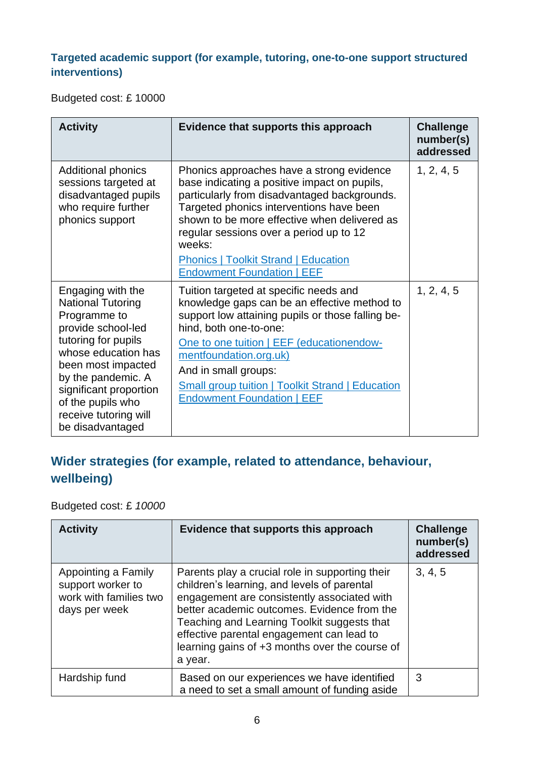#### **Targeted academic support (for example, tutoring, one-to-one support structured interventions)**

Budgeted cost: £ 10000

| <b>Activity</b>                                                                                                                                                                                                                                                           | Evidence that supports this approach                                                                                                                                                                                                                                                                                                                                           | <b>Challenge</b><br>number(s)<br>addressed |
|---------------------------------------------------------------------------------------------------------------------------------------------------------------------------------------------------------------------------------------------------------------------------|--------------------------------------------------------------------------------------------------------------------------------------------------------------------------------------------------------------------------------------------------------------------------------------------------------------------------------------------------------------------------------|--------------------------------------------|
| <b>Additional phonics</b><br>sessions targeted at<br>disadvantaged pupils<br>who require further<br>phonics support                                                                                                                                                       | Phonics approaches have a strong evidence<br>base indicating a positive impact on pupils,<br>particularly from disadvantaged backgrounds.<br>Targeted phonics interventions have been<br>shown to be more effective when delivered as<br>regular sessions over a period up to 12<br>weeks:<br><b>Phonics   Toolkit Strand   Education</b><br><b>Endowment Foundation   EEF</b> | 1, 2, 4, 5                                 |
| Engaging with the<br><b>National Tutoring</b><br>Programme to<br>provide school-led<br>tutoring for pupils<br>whose education has<br>been most impacted<br>by the pandemic. A<br>significant proportion<br>of the pupils who<br>receive tutoring will<br>be disadvantaged | Tuition targeted at specific needs and<br>knowledge gaps can be an effective method to<br>support low attaining pupils or those falling be-<br>hind, both one-to-one:<br>One to one tuition   EEF (educationendow-<br>mentfoundation.org.uk)<br>And in small groups:<br>Small group tuition   Toolkit Strand   Education<br><b>Endowment Foundation   EEF</b>                  | 1, 2, 4, 5                                 |

#### **Wider strategies (for example, related to attendance, behaviour, wellbeing)**

Budgeted cost: £ *10000*

| <b>Activity</b>                                                                     | Evidence that supports this approach                                                                                                                                                                                                                                                                                                                  | <b>Challenge</b><br>number(s)<br>addressed |
|-------------------------------------------------------------------------------------|-------------------------------------------------------------------------------------------------------------------------------------------------------------------------------------------------------------------------------------------------------------------------------------------------------------------------------------------------------|--------------------------------------------|
| Appointing a Family<br>support worker to<br>work with families two<br>days per week | Parents play a crucial role in supporting their<br>children's learning, and levels of parental<br>engagement are consistently associated with<br>better academic outcomes. Evidence from the<br>Teaching and Learning Toolkit suggests that<br>effective parental engagement can lead to<br>learning gains of +3 months over the course of<br>a year. | 3, 4, 5                                    |
| Hardship fund                                                                       | Based on our experiences we have identified<br>a need to set a small amount of funding aside                                                                                                                                                                                                                                                          | 3                                          |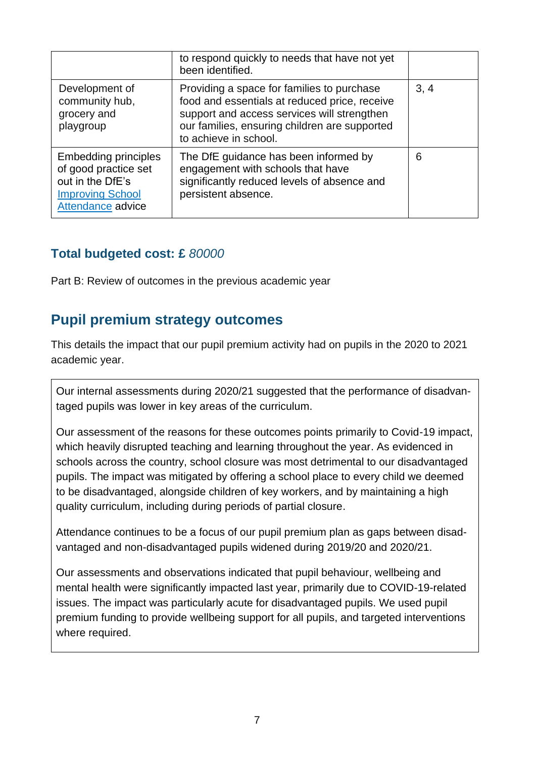|                                                                                                                         | to respond quickly to needs that have not yet<br>been identified.                                                                                                                                                    |      |
|-------------------------------------------------------------------------------------------------------------------------|----------------------------------------------------------------------------------------------------------------------------------------------------------------------------------------------------------------------|------|
| Development of<br>community hub,<br>grocery and<br>playgroup                                                            | Providing a space for families to purchase<br>food and essentials at reduced price, receive<br>support and access services will strengthen<br>our families, ensuring children are supported<br>to achieve in school. | 3, 4 |
| <b>Embedding principles</b><br>of good practice set<br>out in the DfE's<br><b>Improving School</b><br>Attendance advice | The DfE guidance has been informed by<br>engagement with schools that have<br>significantly reduced levels of absence and<br>persistent absence.                                                                     | 6    |

#### **Total budgeted cost: £** *80000*

Part B: Review of outcomes in the previous academic year

#### **Pupil premium strategy outcomes**

This details the impact that our pupil premium activity had on pupils in the 2020 to 2021 academic year.

Our internal assessments during 2020/21 suggested that the performance of disadvantaged pupils was lower in key areas of the curriculum.

Our assessment of the reasons for these outcomes points primarily to Covid-19 impact, which heavily disrupted teaching and learning throughout the year. As evidenced in schools across the country, school closure was most detrimental to our disadvantaged pupils. The impact was mitigated by offering a school place to every child we deemed to be disadvantaged, alongside children of key workers, and by maintaining a high quality curriculum, including during periods of partial closure.

Attendance continues to be a focus of our pupil premium plan as gaps between disadvantaged and non-disadvantaged pupils widened during 2019/20 and 2020/21.

Our assessments and observations indicated that pupil behaviour, wellbeing and mental health were significantly impacted last year, primarily due to COVID-19-related issues. The impact was particularly acute for disadvantaged pupils. We used pupil premium funding to provide wellbeing support for all pupils, and targeted interventions where required.